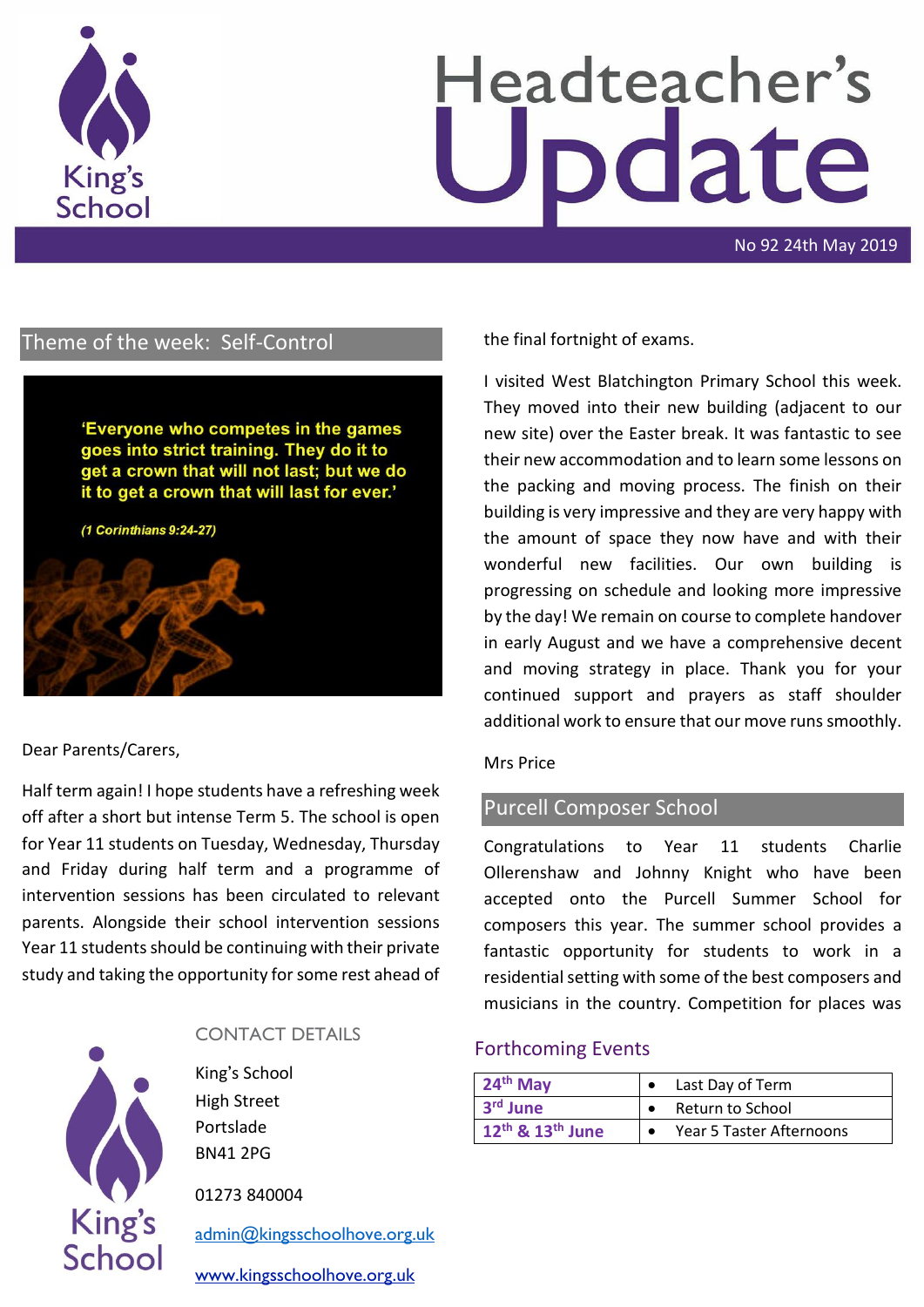

# Headteacher's odate

No 92 24th May 2019

# Theme of the week: Self-Control

'Everyone who competes in the games goes into strict training. They do it to get a crown that will not last; but we do it to get a crown that will last for ever.'

(1 Corinthians 9:24-27)

### Dear Parents/Carers,

Half term again! I hope students have a refreshing week off after a short but intense Term 5. The school is open for Year 11 students on Tuesday, Wednesday, Thursday and Friday during half term and a programme of intervention sessions has been circulated to relevant parents. Alongside their school intervention sessions Year 11 students should be continuing with their private study and taking the opportunity for some rest ahead of



### CONTACT DETAILS

King's School High Street Portslade BN41 2PG

01273 840004

[admin@kingsschoolhove.org.uk](mailto:admin@kingsschoolhove.org.uk)

[www.kingsschoolhove.org.uk](http://www.kingsschoolhove.org.uk/)

the final fortnight of exams.

I visited West Blatchington Primary School this week. They moved into their new building (adjacent to our new site) over the Easter break. It was fantastic to see their new accommodation and to learn some lessons on the packing and moving process. The finish on their building is very impressive and they are very happy with the amount of space they now have and with their wonderful new facilities. Our own building is progressing on schedule and looking more impressive by the day! We remain on course to complete handover in early August and we have a comprehensive decent and moving strategy in place. Thank you for your continued support and prayers as staff shoulder additional work to ensure that our move runs smoothly.

#### Mrs Price

## Purcell Composer School

Congratulations to Year 11 students Charlie Ollerenshaw and Johnny Knight who have been accepted onto the Purcell Summer School for composers this year. The summer school provides a fantastic opportunity for students to work in a residential setting with some of the best composers and musicians in the country. Competition for places was

#### Forthcoming Events

| $24th$ May                               | Last Day of Term         |
|------------------------------------------|--------------------------|
| 3 <sup>rd</sup> June                     | Return to School         |
| 12 <sup>th</sup> & 13 <sup>th</sup> June | Year 5 Taster Afternoons |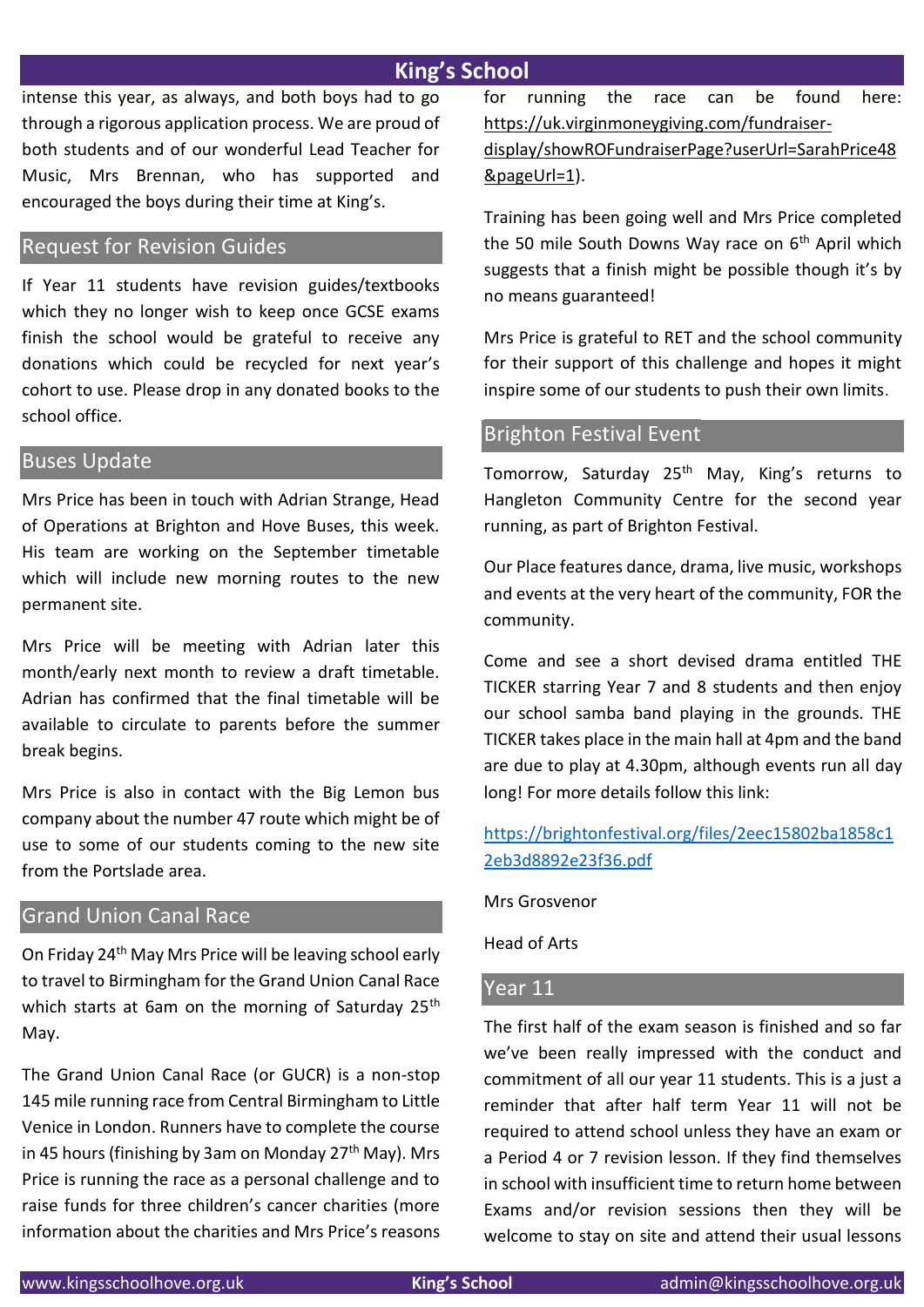# **King's School**

intense this year, as always, and both boys had to go through a rigorous application process. We are proud of both students and of our wonderful Lead Teacher for Music, Mrs Brennan, who has supported and encouraged the boys during their time at King's.

# Request for Revision Guides

If Year 11 students have revision guides/textbooks which they no longer wish to keep once GCSE exams finish the school would be grateful to receive any donations which could be recycled for next year's cohort to use. Please drop in any donated books to the school office.

## Buses Update

Mrs Price has been in touch with Adrian Strange, Head of Operations at Brighton and Hove Buses, this week. His team are working on the September timetable which will include new morning routes to the new permanent site.

Mrs Price will be meeting with Adrian later this month/early next month to review a draft timetable. Adrian has confirmed that the final timetable will be available to circulate to parents before the summer break begins.

Mrs Price is also in contact with the Big Lemon bus company about the number 47 route which might be of use to some of our students coming to the new site from the Portslade area.

## Grand Union Canal Race

On Friday 24th May Mrs Price will be leaving school early to travel to Birmingham for the Grand Union Canal Race which starts at 6am on the morning of Saturday 25<sup>th</sup> May.

The Grand Union Canal Race (or GUCR) is a non-stop 145 mile running race from Central Birmingham to Little Venice in London. Runners have to complete the course in 45 hours (finishing by 3am on Monday  $27<sup>th</sup>$  May). Mrs Price is running the race as a personal challenge and to raise funds for three children's cancer charities (more information about the charities and Mrs Price's reasons for running the race can be found here: [https://uk.virginmoneygiving.com/fundraiser-](https://uk.virginmoneygiving.com/fundraiser-display/showROFundraiserPage?userUrl=SarahPrice48&pageUrl=1)

[display/showROFundraiserPage?userUrl=SarahPrice48](https://uk.virginmoneygiving.com/fundraiser-display/showROFundraiserPage?userUrl=SarahPrice48&pageUrl=1) [&pageUrl=1\)](https://uk.virginmoneygiving.com/fundraiser-display/showROFundraiserPage?userUrl=SarahPrice48&pageUrl=1).

Training has been going well and Mrs Price completed the 50 mile South Downs Way race on  $6<sup>th</sup>$  April which suggests that a finish might be possible though it's by no means guaranteed!

Mrs Price is grateful to RET and the school community for their support of this challenge and hopes it might inspire some of our students to push their own limits.

## Brighton Festival Event

Tomorrow, Saturday 25<sup>th</sup> May, King's returns to Hangleton Community Centre for the second year running, as part of Brighton Festival.

Our Place features dance, drama, live music, workshops and events at the very heart of the community, FOR the community.

Come and see a short devised drama entitled THE TICKER starring Year 7 and 8 students and then enjoy our school samba band playing in the grounds. THE TICKER takes place in the main hall at 4pm and the band are due to play at 4.30pm, although events run all day long! For more details follow this link:

# [https://brightonfestival.org/files/2eec15802ba1858c1](https://brightonfestival.org/files/2eec15802ba1858c12eb3d8892e23f36.pdf) [2eb3d8892e23f36.pdf](https://brightonfestival.org/files/2eec15802ba1858c12eb3d8892e23f36.pdf)

Mrs Grosvenor

Head of Arts

## Year 11

The first half of the exam season is finished and so far we've been really impressed with the conduct and commitment of all our year 11 students. This is a just a reminder that after half term Year 11 will not be required to attend school unless they have an exam or a Period 4 or 7 revision lesson. If they find themselves in school with insufficient time to return home between Exams and/or revision sessions then they will be welcome to stay on site and attend their usual lessons